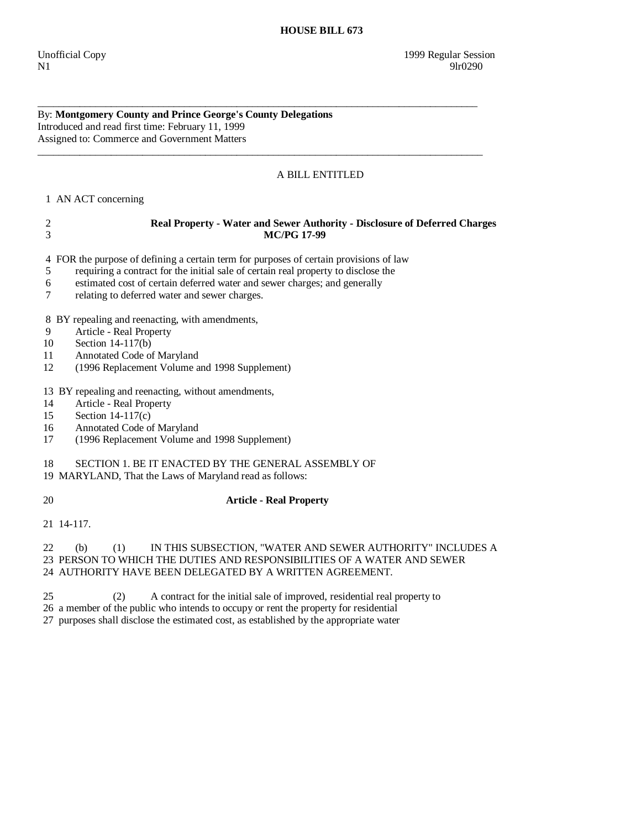By: **Montgomery County and Prince George's County Delegations**  Introduced and read first time: February 11, 1999 Assigned to: Commerce and Government Matters

## A BILL ENTITLED

 **HOUSE BILL 673** 

1 AN ACT concerning

# 2 **Real Property - Water and Sewer Authority - Disclosure of Deferred Charges**  3 **MC/PG 17-99**

4 FOR the purpose of defining a certain term for purposes of certain provisions of law

\_\_\_\_\_\_\_\_\_\_\_\_\_\_\_\_\_\_\_\_\_\_\_\_\_\_\_\_\_\_\_\_\_\_\_\_\_\_\_\_\_\_\_\_\_\_\_\_\_\_\_\_\_\_\_\_\_\_\_\_\_\_\_\_\_\_\_\_\_\_\_\_\_\_\_\_\_\_\_\_\_\_\_\_

\_\_\_\_\_\_\_\_\_\_\_\_\_\_\_\_\_\_\_\_\_\_\_\_\_\_\_\_\_\_\_\_\_\_\_\_\_\_\_\_\_\_\_\_\_\_\_\_\_\_\_\_\_\_\_\_\_\_\_\_\_\_\_\_\_\_\_\_\_\_\_\_\_\_\_\_\_\_\_\_\_\_\_\_\_

- 5 requiring a contract for the initial sale of certain real property to disclose the
- 6 estimated cost of certain deferred water and sewer charges; and generally
- 7 relating to deferred water and sewer charges.

8 BY repealing and reenacting, with amendments,

- 9 Article Real Property
- 10 Section 14-117(b)
- 11 Annotated Code of Maryland
- 12 (1996 Replacement Volume and 1998 Supplement)

13 BY repealing and reenacting, without amendments,

- 14 Article Real Property
- 15 Section 14-117(c)
- 16 Annotated Code of Maryland
- 17 (1996 Replacement Volume and 1998 Supplement)

18 SECTION 1. BE IT ENACTED BY THE GENERAL ASSEMBLY OF

19 MARYLAND, That the Laws of Maryland read as follows:

### 20 **Article - Real Property**

21 14-117.

#### 22 (b) (1) IN THIS SUBSECTION, "WATER AND SEWER AUTHORITY" INCLUDES A 23 PERSON TO WHICH THE DUTIES AND RESPONSIBILITIES OF A WATER AND SEWER 24 AUTHORITY HAVE BEEN DELEGATED BY A WRITTEN AGREEMENT.

25 (2) A contract for the initial sale of improved, residential real property to

26 a member of the public who intends to occupy or rent the property for residential

27 purposes shall disclose the estimated cost, as established by the appropriate water